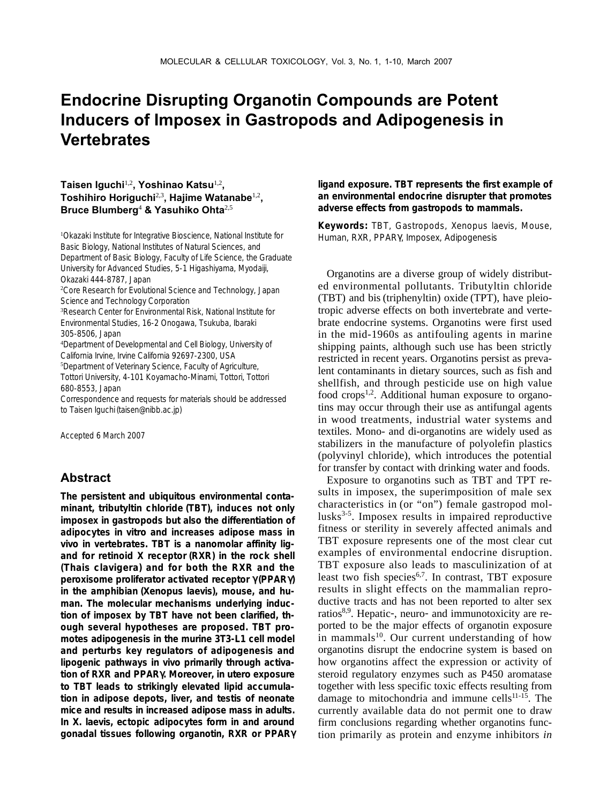# **Endocrine Disrupting Organotin Compounds are Potent Inducers of Imposex in Gastropods and Adipogenesis in Vertebrates**

#### **Taisen Iguchi**1,2**, Yoshinao Katsu**1,2**, Toshihiro Horiguchi**2,3**, Hajime Watanabe**1,2**, Bruce Blumberg**<sup>4</sup> **& Yasuhiko Ohta**2,5

1 Okazaki Institute for Integrative Bioscience, National Institute for Basic Biology, National Institutes of Natural Sciences, and Department of Basic Biology, Faculty of Life Science, the Graduate University for Advanced Studies, 5-1 Higashiyama, Myodaiji, Okazaki 444-8787, Japan 2 Core Research for Evolutional Science and Technology, Japan

Science and Technology Corporation

3 Research Center for Environmental Risk, National Institute for Environmental Studies, 16-2 Onogawa, Tsukuba, Ibaraki 305-8506, Japan

4 Department of Developmental and Cell Biology, University of California Irvine, Irvine California 92697-2300, USA

5 Department of Veterinary Science, Faculty of Agriculture, Tottori University, 4-101 Koyamacho-Minami, Tottori, Tottori 680-8553, Japan

Correspondence and requests for materials should be addressed to Taisen Iguchi (taisen@nibb.ac.jp)

Accepted 6 March 2007

## **Abstract**

**The persistent and ubiquitous environmental contaminant, tributyltin chloride (TBT), induces not only imposex in gastropods but also the differentiation of adipocytes** *in vitro* **and increases adipose mass** *in vivo* **in vertebrates. TBT is a nanomolar affinity ligand for retinoid X receptor (RXR) in the rock shell (***Thais clavigera***) and for both the RXR and the peroxisome proliferator activated receptor** γ **(PPAR**γ**) in the amphibian (***Xenopus laevis***), mouse, and human. The molecular mechanisms underlying induction of imposex by TBT have not been clarified, though several hypotheses are proposed. TBT promotes adipogenesis in the murine 3T3-L1 cell model and perturbs key regulators of adipogenesis and lipogenic pathways** *in vivo* **primarily through activation of RXR and PPAR**γ**. Moreover,** *in utero* **exposure to TBT leads to strikingly elevated lipid accumulation in adipose depots, liver, and testis of neonate mice and results in increased adipose mass in adults. In** *X. laevis***, ectopic adipocytes form in and around gonadal tissues following organotin, RXR or PPAR**γ

**ligand exposure. TBT represents the first example of an environmental endocrine disrupter that promotes adverse effects from gastropods to mammals.**

**Keywords:** TBT, Gastropods, *Xenopus laevis*, Mouse, Human, RXR, PPARγ, Imposex, Adipogenesis

Organotins are a diverse group of widely distributed environmental pollutants. Tributyltin chloride (TBT) and bis (triphenyltin) oxide (TPT), have pleiotropic adverse effects on both invertebrate and vertebrate endocrine systems. Organotins were first used in the mid-1960s as antifouling agents in marine shipping paints, although such use has been strictly restricted in recent years. Organotins persist as prevalent contaminants in dietary sources, such as fish and shellfish, and through pesticide use on high value food crops<sup>1,2</sup>. Additional human exposure to organotins may occur through their use as antifungal agents in wood treatments, industrial water systems and textiles. Mono- and di-organotins are widely used as stabilizers in the manufacture of polyolefin plastics (polyvinyl chloride), which introduces the potential for transfer by contact with drinking water and foods.

Exposure to organotins such as TBT and TPT results in imposex, the superimposition of male sex characteristics in (or "on") female gastropod mollusks<sup>3-5</sup>. Imposex results in impaired reproductive fitness or sterility in severely affected animals and TBT exposure represents one of the most clear cut examples of environmental endocrine disruption. TBT exposure also leads to masculinization of at least two fish species<sup> $6,7$ </sup>. In contrast, TBT exposure results in slight effects on the mammalian reproductive tracts and has not been reported to alter sex ratios<sup>8,9</sup>. Hepatic-, neuro- and immunotoxicity are reported to be the major effects of organotin exposure in mammals<sup>10</sup>. Our current understanding of how organotins disrupt the endocrine system is based on how organotins affect the expression or activity of steroid regulatory enzymes such as P450 aromatase together with less specific toxic effects resulting from damage to mitochondria and immune cells $11-15$ . The currently available data do not permit one to draw firm conclusions regarding whether organotins function primarily as protein and enzyme inhibitors *in*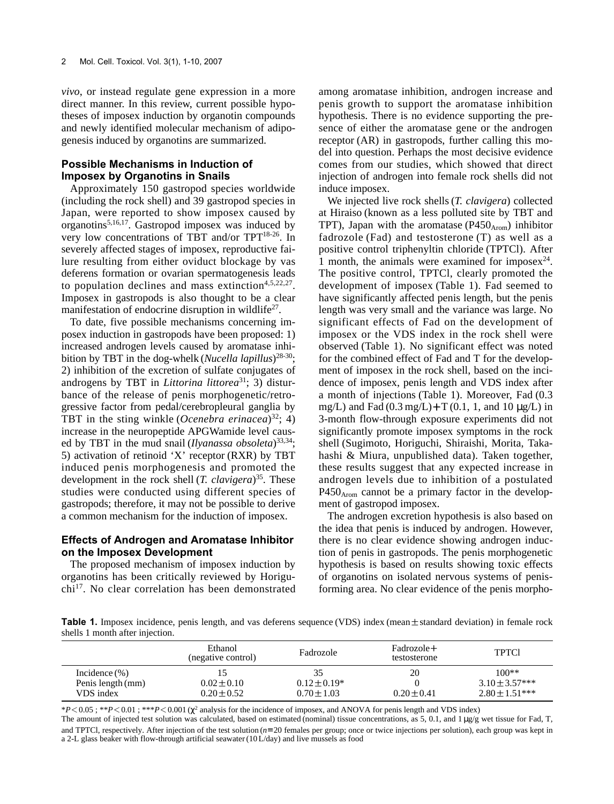*vivo*, or instead regulate gene expression in a more direct manner. In this review, current possible hypotheses of imposex induction by organotin compounds and newly identified molecular mechanism of adipogenesis induced by organotins are summarized.

#### **Possible Mechanisms in Induction of Imposex by Organotins in Snails**

Approximately 150 gastropod species worldwide (including the rock shell) and 39 gastropod species in Japan, were reported to show imposex caused by organotins5,16,17. Gastropod imposex was induced by very low concentrations of TBT and/or TPT18-26. In severely affected stages of imposex, reproductive failure resulting from either oviduct blockage by vas deferens formation or ovarian spermatogenesis leads to population declines and mass extinction $4,5,22,27$ . Imposex in gastropods is also thought to be a clear manifestation of endocrine disruption in wildlife<sup>27</sup>.

To date, five possible mechanisms concerning imposex induction in gastropods have been proposed: 1) increased androgen levels caused by aromatase inhibition by TBT in the dog-whelk (*Nucella lapillus*) 28-30; 2) inhibition of the excretion of sulfate conjugates of androgens by TBT in *Littorina littorea*<sup>31</sup>; 3) disturbance of the release of penis morphogenetic/retrogressive factor from pedal/cerebropleural ganglia by TBT in the sting winkle (*Ocenebra erinacea*) 32; 4) increase in the neuropeptide APGWamide level caused by TBT in the mud snail (*Ilyanassa obsoleta*) 33,34; 5) activation of retinoid 'X' receptor (RXR) by TBT induced penis morphogenesis and promoted the development in the rock shell (*T. clavigera*) 35. These studies were conducted using different species of gastropods; therefore, it may not be possible to derive a common mechanism for the induction of imposex.

#### **Effects of Androgen and Aromatase Inhibitor on the Imposex Development**

The proposed mechanism of imposex induction by organotins has been critically reviewed by Horiguchi17. No clear correlation has been demonstrated among aromatase inhibition, androgen increase and penis growth to support the aromatase inhibition hypothesis. There is no evidence supporting the presence of either the aromatase gene or the androgen receptor (AR) in gastropods, further calling this model into question. Perhaps the most decisive evidence comes from our studies, which showed that direct injection of androgen into female rock shells did not induce imposex.

We injected live rock shells (*T. clavigera*) collected at Hiraiso (known as a less polluted site by TBT and TPT), Japan with the aromatase  $(P450<sub>Arom</sub>)$  inhibitor fadrozole (Fad) and testosterone (T) as well as a positive control triphenyltin chloride (TPTCl). After 1 month, the animals were examined for imposex $24$ . The positive control, TPTCl, clearly promoted the development of imposex (Table 1). Fad seemed to have significantly affected penis length, but the penis length was very small and the variance was large. No significant effects of Fad on the development of imposex or the VDS index in the rock shell were observed (Table 1). No significant effect was noted for the combined effect of Fad and T for the development of imposex in the rock shell, based on the incidence of imposex, penis length and VDS index after a month of injections (Table 1). Moreover, Fad (0.3 mg/L) and Fad  $(0.3 \text{ mg/L}) + T(0.1, 1, \text{ and } 10 \text{ µg/L})$  in 3-month flow-through exposure experiments did not significantly promote imposex symptoms in the rock shell (Sugimoto, Horiguchi, Shiraishi, Morita, Takahashi & Miura, unpublished data). Taken together, these results suggest that any expected increase in androgen levels due to inhibition of a postulated  $P450<sub>Arom</sub>$  cannot be a primary factor in the development of gastropod imposex.

The androgen excretion hypothesis is also based on the idea that penis is induced by androgen. However, there is no clear evidence showing androgen induction of penis in gastropods. The penis morphogenetic hypothesis is based on results showing toxic effects of organotins on isolated nervous systems of penisforming area. No clear evidence of the penis morpho-

**Table 1.** Imposex incidence, penis length, and vas deferens sequence (VDS) index (mean $\pm$ standard deviation) in female rock shells 1 month after injection.

|                   | Ethanol<br>(negative control) | Fadrozole      | Fadrozole+<br>testosterone | <b>TPTC1</b>       |
|-------------------|-------------------------------|----------------|----------------------------|--------------------|
| Incidence $(\% )$ |                               |                | 20                         | $100**$            |
| Penis length (mm) | $0.02 + 0.10$                 | $0.12 + 0.19*$ |                            | $3.10 + 3.57***$   |
| VDS index         | $0.20 \pm 0.52$               | $0.70 + 1.03$  | $0.20 + 0.41$              | $2.80 \pm 1.51***$ |

\**P*⁄0.05 ; \*\**P*⁄0.01 ; \*\*\**P*⁄0.001 (χ<sup>2</sup> analysis for the incidence of imposex, and ANOVA for penis length and VDS index) The amount of injected test solution was calculated, based on estimated (nominal) tissue concentrations, as  $5$ , 0.1, and  $1 \mu g/g$  wet tissue for Fad, T, and TPTCl, respectively. After injection of the test solution ( $n=20$  females per group; once or twice injections per solution), each group was kept in a 2-L glass beaker with flow-through artificial seawater (10 L/day) and live mussels as food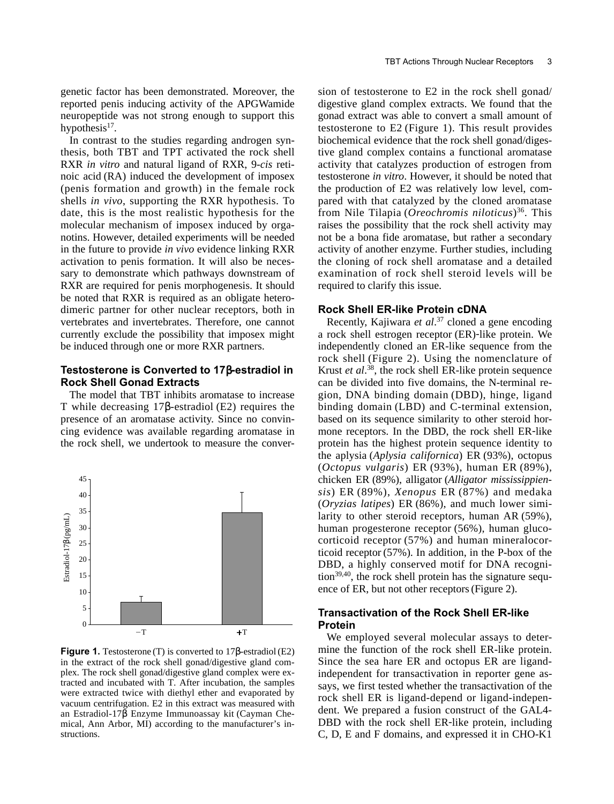genetic factor has been demonstrated. Moreover, the reported penis inducing activity of the APGWamide neuropeptide was not strong enough to support this hypothesis $17$ .

In contrast to the studies regarding androgen synthesis, both TBT and TPT activated the rock shell RXR *in vitro* and natural ligand of RXR, 9-*cis* retinoic acid (RA) induced the development of imposex (penis formation and growth) in the female rock shells *in vivo*, supporting the RXR hypothesis. To date, this is the most realistic hypothesis for the molecular mechanism of imposex induced by organotins. However, detailed experiments will be needed in the future to provide *in vivo* evidence linking RXR activation to penis formation. It will also be necessary to demonstrate which pathways downstream of RXR are required for penis morphogenesis. It should be noted that RXR is required as an obligate heterodimeric partner for other nuclear receptors, both in vertebrates and invertebrates. Therefore, one cannot currently exclude the possibility that imposex might be induced through one or more RXR partners.

#### **Testosterone is Converted to 17**β**-estradiol in Rock Shell Gonad Extracts**

The model that TBT inhibits aromatase to increase T while decreasing 17β-estradiol (E2) requires the presence of an aromatase activity. Since no convincing evidence was available regarding aromatase in the rock shell, we undertook to measure the conver-



**Figure 1.** Testosterone (T) is converted to 17β-estradiol (E2) in the extract of the rock shell gonad/digestive gland complex. The rock shell gonad/digestive gland complex were extracted and incubated with T. After incubation, the samples were extracted twice with diethyl ether and evaporated by vacuum centrifugation. E2 in this extract was measured with an Estradiol-17β Enzyme Immunoassay kit (Cayman Chemical, Ann Arbor, MI) according to the manufacturer's instructions.

sion of testosterone to E2 in the rock shell gonad/ digestive gland complex extracts. We found that the gonad extract was able to convert a small amount of testosterone to E2 (Figure 1). This result provides biochemical evidence that the rock shell gonad/digestive gland complex contains a functional aromatase activity that catalyzes production of estrogen from testosterone *in vitro*. However, it should be noted that the production of E2 was relatively low level, compared with that catalyzed by the cloned aromatase from Nile Tilapia (*Oreochromis niloticus*)36. This raises the possibility that the rock shell activity may not be a bona fide aromatase, but rather a secondary activity of another enzyme. Further studies, including the cloning of rock shell aromatase and a detailed examination of rock shell steroid levels will be required to clarify this issue.

#### **Rock Shell ER-like Protein cDNA**

Recently, Kajiwara *et al*. <sup>37</sup> cloned a gene encoding a rock shell estrogen receptor (ER)-like protein. We independently cloned an ER-like sequence from the rock shell (Figure 2). Using the nomenclature of Krust *et al*. 38, the rock shell ER-like protein sequence can be divided into five domains, the N-terminal region, DNA binding domain (DBD), hinge, ligand binding domain (LBD) and C-terminal extension, based on its sequence similarity to other steroid hormone receptors. In the DBD, the rock shell ER-like protein has the highest protein sequence identity to the aplysia (*Aplysia californica*) ER (93%), octopus (*Octopus vulgaris*) ER (93%), human ER (89%), chicken ER (89%), alligator (*Alligator mississippiensis*) ER (89%), *Xenopus* ER (87%) and medaka (*Oryzias latipes*) ER (86%), and much lower similarity to other steroid receptors, human AR (59%), human progesterone receptor (56%), human glucocorticoid receptor (57%) and human mineralocorticoid receptor (57%). In addition, in the P-box of the DBD, a highly conserved motif for DNA recogni- $\frac{1}{39,40}$ , the rock shell protein has the signature sequence of ER, but not other receptors (Figure 2).

#### **Transactivation of the Rock Shell ER-like Protein**

We employed several molecular assays to determine the function of the rock shell ER-like protein. Since the sea hare ER and octopus ER are ligandindependent for transactivation in reporter gene assays, we first tested whether the transactivation of the rock shell ER is ligand-depend or ligand-independent. We prepared a fusion construct of the GAL4- DBD with the rock shell ER-like protein, including C, D, E and F domains, and expressed it in CHO-K1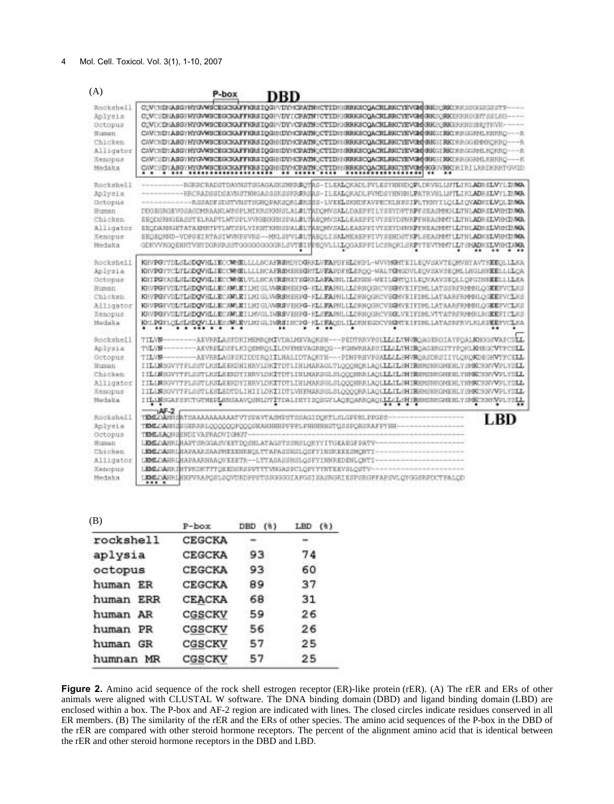#### 4 Mol. Cell. Toxicol. Vol. 3(1), 1-10, 2007

| (A)                                                                                                 | P-box<br>DRD                                                                                                                                                                                                                                                                                                                                                                                                                                                                                                                                                     |
|-----------------------------------------------------------------------------------------------------|------------------------------------------------------------------------------------------------------------------------------------------------------------------------------------------------------------------------------------------------------------------------------------------------------------------------------------------------------------------------------------------------------------------------------------------------------------------------------------------------------------------------------------------------------------------|
| Rockshell                                                                                           | OUVERBRASSFRYGVWSCEGOSCAFFRSHIPOGFVDYHCEAZENRCYHDRERKSCOACELINGYWVGMORKERKEGREGEGESETT                                                                                                                                                                                                                                                                                                                                                                                                                                                                           |
| Aplysia                                                                                             | COVESINASGERYGWYSCEGOKAFFKRSIQGEVINYICPATRY/CTIDHHRRKSCQACRLRRCYEVGA(RKSORKEHHNSGY/183LH)-                                                                                                                                                                                                                                                                                                                                                                                                                                                                       |
| <b>Octopus</b>                                                                                      | COVOCINASSERYSWSCESCSAFFKRSIQSPVDYVCPATNECTIDEERRKSCQACRLRKOYEVSM(RKEQRKENDEESIQTEVE-                                                                                                                                                                                                                                                                                                                                                                                                                                                                            |
| <b>Human</b>                                                                                        | CAVERDTASGYHYGVWSCRGCJAFFKIISIQGIDIDYMCPATNQCTIDRISHKSCQACHLBREYEVGMORETSKIMUGESHMLNINDO--- h                                                                                                                                                                                                                                                                                                                                                                                                                                                                    |
| Chicken.                                                                                            | CANCHDTASGYHYGWWSCEGCSGAFFKBSIQGHNDYMCPATNOCTIDHNRRKSCQACRLBKCYEWDOBROITRKTHRGGEHMORRO--- R                                                                                                                                                                                                                                                                                                                                                                                                                                                                      |
| Alligator                                                                                           | CAVERITASOVHYOVWSCEGCSAFFKRSIQGRIDYMCPATNOCYIDRIBRKSCQACRLRKCYEVGHHRGIBRGFRAGRIDO -- R                                                                                                                                                                                                                                                                                                                                                                                                                                                                           |
| Xenopus                                                                                             | CAVESDIASCHEGAWSCEGOKAFFIGESIQGHHDVHCFATNOCTIDHHDGGQACRLINGTEWGHHDGE ERKERRGGRHLHHRQ-                                                                                                                                                                                                                                                                                                                                                                                                                                                                            |
| Medaka                                                                                              | CAVCSDYASSYHTOVWSCEGGKAFFKRSIQGHMDYMCRATNCCTIDHMRKSCQACKLRKCYEVGM4KGMVRKCHIRILARDKRRTOVMD                                                                                                                                                                                                                                                                                                                                                                                                                                                                        |
| Rockshell                                                                                           | NECKCRADSTOAVMSTSGAGASKSMOS&OVAS-ILEALOKADLPVLKSYHMSDOPLDRVELLMYLING.ADRELWYLINKA                                                                                                                                                                                                                                                                                                                                                                                                                                                                                |
| Aplysia                                                                                             | HRCRADSSDSAVNSTHÖKMASSSKSSKRÆRSAS-ILEALOKADLFVMDSYHNENLFAVELLMYLTKLADRELVYLTKMA                                                                                                                                                                                                                                                                                                                                                                                                                                                                                  |
| Octopiis                                                                                            | REEADE SINTVMSTEGNQPAKSQSLARDES-LVKKLSKNDSAVPRORLMPSTPLTNNTTLOLLTOKADKTLVOLTMVA                                                                                                                                                                                                                                                                                                                                                                                                                                                                                  |
| <b>Human</b>                                                                                        | IDGEGRGEVGGAGZMRAANLMPSPLHIHRSPONSLALSLYMIXMVSALLDAEPPILYSEYDPTRPFSEASMMGLLTHLADRELVHHIDMA                                                                                                                                                                                                                                                                                                                                                                                                                                                                       |
| Chicken                                                                                             | EEODSPNGEASSTELRAPTLMTSPLVVNHINNESPAL&LTAEONVSALLEAEPPTVYSEYDHNRPFNEASHMYLLTNLADRELVHHIDMA                                                                                                                                                                                                                                                                                                                                                                                                                                                                       |
| Alligator                                                                                           |                                                                                                                                                                                                                                                                                                                                                                                                                                                                                                                                                                  |
| Kenopus                                                                                             | EEQEDRED-VDPSEERTASIMWFSVRS--NKLSPVL#LTABQLI SALNEAKPFLVYSEHDSTYPLSEASPETLLTNLADKHLVHHDMA                                                                                                                                                                                                                                                                                                                                                                                                                                                                        |
| Medaka                                                                                              | GDKVVKOOEHKTVHTDGKKRSSTOGGGGGGGGKLSVTSIRESOVLLLLQGAEPPILCSRQKLSRPTTEVTHHTLLTSNADKKLVHHLUWA                                                                                                                                                                                                                                                                                                                                                                                                                                                                       |
| Rockshell                                                                                           | KHVPGTTDLGLGDQVHLIECCMHELLLLNCAFRSHDYDGRRLVFAPDFHLDHFL-WVVHGHTEILECVSAVTECHVHYAVTHEECLLLXKA                                                                                                                                                                                                                                                                                                                                                                                                                                                                      |
| Aplysia                                                                                             | KHVPGYTCLTLGDOVHLIECCWHELLLANCAFRENENHELVFAPDFHLERCO-MALTGMGDVLEOVSAVSECMLLHGLANKELLLLCA                                                                                                                                                                                                                                                                                                                                                                                                                                                                         |
| Octopuz                                                                                             | KHIPGYATLELIDQVHLIKCOMGKUVLLNCATRÉNEVEGHAFAFAIRIHLILENHE LIKTLGPUTLEQVAAVSEQLLQFGINREELLLLEA                                                                                                                                                                                                                                                                                                                                                                                                                                                                     |
| <b>Busan</b>                                                                                        | KRVPGFVDL/ILHDOVHLLEOAM.ETLMIGLV/REMERFG-HLLEAPHLLLDRNOGROVHGFVETFDHLLATSSRFR000HLOGKEFVCLKS                                                                                                                                                                                                                                                                                                                                                                                                                                                                     |
| <b>Chicken</b>                                                                                      | KN/PGFVDL/ILHDQVHLLECAM.ETLHIGLWRSHEHIG-HLLEANULLLENNOGKOVEGHVETFINLLATAARFRM@ILOGEEFVCLKS                                                                                                                                                                                                                                                                                                                                                                                                                                                                       |
| Alligator                                                                                           | KRUPGFVDL/TLHDQVHLLRCXMLRTLMIGL/MRSVEHPG-HLLRAPHLLLDRNOGROVEGNVETFDMLLATAARFRHHHLOGREPVCLKS                                                                                                                                                                                                                                                                                                                                                                                                                                                                      |
| Xenopus                                                                                             | KRVPGFVDL/FLHDOVHLLEC/OVLETINVOLINRSVEHHG-HLJFAPHLLLERNOORCVHGLVETFDHLVTTATRFRFNMRLKOREFICLR3                                                                                                                                                                                                                                                                                                                                                                                                                                                                    |
| Medalia                                                                                             | KHLPGFLQLSLADQVLLLESSMLEVLMIGLINRSIMSPG-HLTEACHLILONNESSCVHDRTKINTHSLATASNFRVLKLKFEEFYCLKA                                                                                                                                                                                                                                                                                                                                                                                                                                                                       |
| Rockshell<br>Anlysia<br>Octopus<br><b>Human</b><br>Chicken<br>Alligator<br>Kenopus<br><b>Nodaka</b> | TILVN-<br>IILANSSVYTELESTLKSLEESDHIHRVLDKTTDTLIHLMAKAGLTLQQQHQRLAQILLTLSHIRHMSSRGMEHLVSHKCRNVVPLYDLL<br>#FLAMSSVYTFLESTLKSLEESSYTHNVLOKITDTLINLMAKSSLSLQQQNDLLAQLLLLTLSHTRD0SN0SNRHLYN00CBSNVVFLYDLL<br>TILAMSSVYTELSSTLKSLEESDYTHRVLDKITDTLIHLMAKSGLSLOOGHRALADLLLLSMIRHMSSMKHLYNMKONNVVPLYDLL<br>IILLNSOVYTFLSSTLESLEDTDLIHIILOKIIDTLVHTMAKSGLSLQQQQRALAQLLLILSHIRMMSNROMEHLYSMCROVVPLYDLL<br>IILAMSSAFISTTVTMEELIBSAAVQSHLOTITDALIITISQEVILAQEQAPAQAQLILLENIMBOSHSSRGHLYSMCYSHYDLI                                                                            |
| Rockshell<br>Anlysia<br>Octopus<br><b>Human</b><br>Chicken<br>Alligator<br>Xenopus<br>Nedaka        | $+45-2$<br>LBD<br><b>TEMPARE SATERAARARARATVISEWTASNEITESAGIDSTELSLGPPHLPPGPS</b><br>TIME A ARREST GERRICLO OCCO POCCITARIBILE PER PRINTING TO SECOND AFT THE<br>TEMLEACH SENDIVAPRADVIGHKY-<br>LEMEGARERLHAPTSROGASVEETDOSHLATAGSTSSBSLOKYYITGEASGFPATV-<br><b>INALIA</b> BILIARARIAARHEEDGUQLTTAPASSRSLQSFYIRSKEERKONTI<br>LEME DAHRI HAHAARSIAADVEEETR -- LTTASASSESLOSEYINGREDENLONTI<br>LEALTAIN THTPSCOFFFFOREDSPSPTTTV8XASPCLOPYYTNTEEVSLOSTY ------------------------<br>LIBELAHRI HHPVRAPOSLSOVDRDPPSTSPGGGGLAPGSI SASRGRI ESPSRGPFAPSVLOVGSHRPOCTFALOD |

| (B)       | $P$ -box | DBD<br>(8) | LBD<br>(3) |
|-----------|----------|------------|------------|
| rockshell | CEGCKA   |            |            |
| aplysia   | CEGCKA   | 93         | 74         |
| octopus   | CEGCKA   | 93         | 60         |
| human ER  | CEGCKA   | 89         | 37         |
| human ERR | CEACKA   | 68         | 31         |
| human AR  | CGSCKV   | 59         | 26         |
| human PR  | CGSCKV   | 56         | 26         |
| human GR  | CGSCKV   | 57         | 25         |
| humnan MR | CGSCKV   | 57         | 25         |

**Figure 2.** Amino acid sequence of the rock shell estrogen receptor (ER)-like protein (rER). (A) The rER and ERs of other animals were aligned with CLUSTAL W software. The DNA binding domain (DBD) and ligand binding domain (LBD) are enclosed within a box. The P-box and AF-2 region are indicated with lines. The closed circles indicate residues conserved in all ER members. (B) The similarity of the rER and the ERs of other species. The amino acid sequences of the P-box in the DBD of the rER are compared with other steroid hormone receptors. The percent of the alignment amino acid that is identical between the rER and other steroid hormone receptors in the DBD and LBD.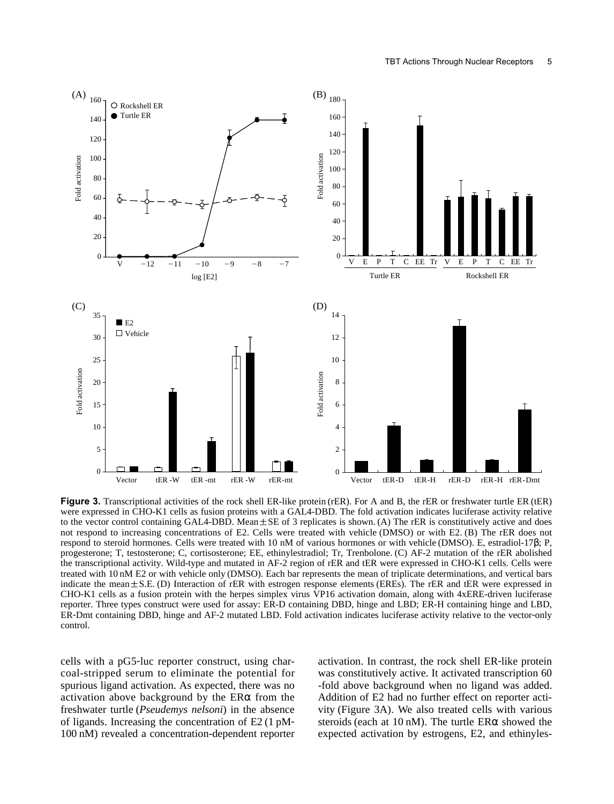

**Figure 3.** Transcriptional activities of the rock shell ER-like protein (rER). For A and B, the rER or freshwater turtle ER (tER) were expressed in CHO-K1 cells as fusion proteins with a GAL4-DBD. The fold activation indicates luciferase activity relative to the vector control containing GAL4-DBD. Mean $\pm$ SE of 3 replicates is shown. (A) The rER is constitutively active and does not respond to increasing concentrations of E2. Cells were treated with vehicle (DMSO) or with E2. (B) The rER does not respond to steroid hormones. Cells were treated with 10 nM of various hormones or with vehicle (DMSO). E, estradiol-17β; P, progesterone; T, testosterone; C, cortisosterone; EE, ethinylestradiol; Tr, Trenbolone. (C) AF-2 mutation of the rER abolished the transcriptional activity. Wild-type and mutated in AF-2 region of rER and tER were expressed in CHO-K1 cells. Cells were treated with 10 nM E2 or with vehicle only (DMSO). Each bar represents the mean of triplicate determinations, and vertical bars indicate the mean±S.E. (D) Interaction of rER with estrogen response elements (EREs). The rER and tER were expressed in CHO-K1 cells as a fusion protein with the herpes simplex virus VP16 activation domain, along with 4xERE-driven luciferase reporter. Three types construct were used for assay: ER-D containing DBD, hinge and LBD; ER-H containing hinge and LBD, ER-Dmt containing DBD, hinge and AF-2 mutated LBD. Fold activation indicates luciferase activity relative to the vector-only control.

cells with a pG5-luc reporter construct, using charcoal-stripped serum to eliminate the potential for spurious ligand activation. As expected, there was no activation above background by the ERα from the freshwater turtle (*Pseudemys nelsoni*) in the absence of ligands. Increasing the concentration of E2 (1 pM-100 nM) revealed a concentration-dependent reporter

activation. In contrast, the rock shell ER-like protein was constitutively active. It activated transcription 60 -fold above background when no ligand was added. Addition of E2 had no further effect on reporter activity (Figure 3A). We also treated cells with various steroids (each at 10 nM). The turtle  $ER\alpha$  showed the expected activation by estrogens, E2, and ethinyles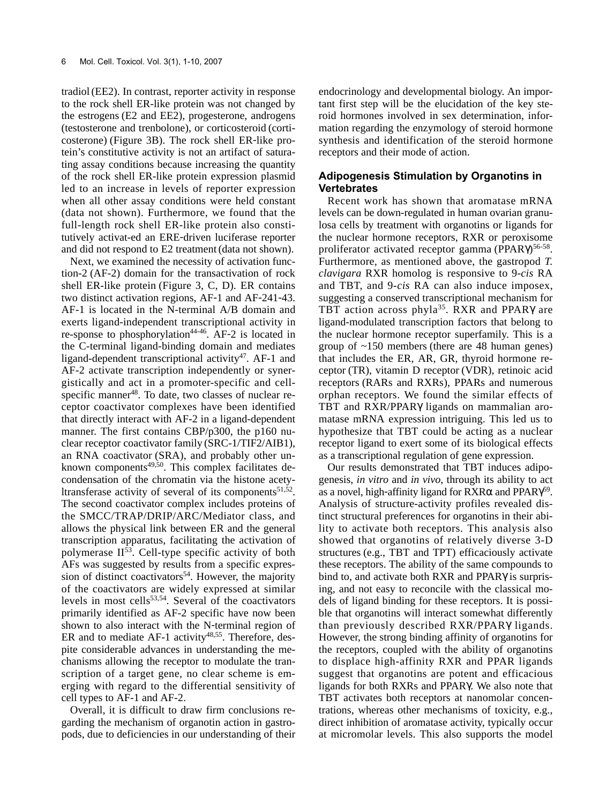tradiol (EE2). In contrast, reporter activity in response to the rock shell ER-like protein was not changed by the estrogens (E2 and EE2), progesterone, androgens (testosterone and trenbolone), or corticosteroid (corticosterone) (Figure 3B). The rock shell ER-like protein's constitutive activity is not an artifact of saturating assay conditions because increasing the quantity of the rock shell ER-like protein expression plasmid led to an increase in levels of reporter expression when all other assay conditions were held constant (data not shown). Furthermore, we found that the full-length rock shell ER-like protein also constitutively activat-ed an ERE-driven luciferase reporter and did not respond to E2 treatment (data not shown).

Next, we examined the necessity of activation function-2 (AF-2) domain for the transactivation of rock shell ER-like protein (Figure 3, C, D). ER contains two distinct activation regions, AF-1 and AF-241-43. AF-1 is located in the N-terminal A/B domain and exerts ligand-independent transcriptional activity in re-sponse to phosphorylation<sup>44-46</sup>. AF-2 is located in the C-terminal ligand-binding domain and mediates ligand-dependent transcriptional activity<sup>47</sup>. AF-1 and AF-2 activate transcription independently or synergistically and act in a promoter-specific and cellspecific manner<sup>48</sup>. To date, two classes of nuclear receptor coactivator complexes have been identified that directly interact with AF-2 in a ligand-dependent manner. The first contains CBP/p300, the p160 nuclear receptor coactivator family (SRC-1/TIF2/AIB1), an RNA coactivator (SRA), and probably other unknown components $49,50$ . This complex facilitates decondensation of the chromatin via the histone acetyltransferase activity of several of its components<sup>51,52</sup>. The second coactivator complex includes proteins of the SMCC/TRAP/DRIP/ARC/Mediator class, and allows the physical link between ER and the general transcription apparatus, facilitating the activation of polymerase  $II^{53}$ . Cell-type specific activity of both AFs was suggested by results from a specific expression of distinct coactivators<sup>54</sup>. However, the majority of the coactivators are widely expressed at similar levels in most cells<sup>53,54</sup>. Several of the coactivators primarily identified as AF-2 specific have now been shown to also interact with the N-terminal region of ER and to mediate AF-1 activity<sup>48,55</sup>. Therefore, despite considerable advances in understanding the mechanisms allowing the receptor to modulate the transcription of a target gene, no clear scheme is emerging with regard to the differential sensitivity of cell types to AF-1 and AF-2.

Overall, it is difficult to draw firm conclusions regarding the mechanism of organotin action in gastropods, due to deficiencies in our understanding of their endocrinology and developmental biology. An important first step will be the elucidation of the key steroid hormones involved in sex determination, information regarding the enzymology of steroid hormone synthesis and identification of the steroid hormone receptors and their mode of action.

#### **Adipogenesis Stimulation by Organotins in Vertebrates**

Recent work has shown that aromatase mRNA levels can be down-regulated in human ovarian granulosa cells by treatment with organotins or ligands for the nuclear hormone receptors, RXR or peroxisome proliferator activated receptor gamma (PPARγ)<sup>56-58</sup>. Furthermore, as mentioned above, the gastropod *T. clavigara* RXR homolog is responsive to 9-*cis* RA and TBT, and 9-*cis* RA can also induce imposex, suggesting a conserved transcriptional mechanism for TBT action across phyla<sup>35</sup>. RXR and PPARγ are ligand-modulated transcription factors that belong to the nuclear hormone receptor superfamily. This is a group of ~150 members (there are 48 human genes) that includes the ER, AR, GR, thyroid hormone receptor (TR), vitamin D receptor (VDR), retinoic acid receptors (RARs and RXRs), PPARs and numerous orphan receptors. We found the similar effects of TBT and RXR/PPARγ ligands on mammalian aromatase mRNA expression intriguing. This led us to hypothesize that TBT could be acting as a nuclear receptor ligand to exert some of its biological effects as a transcriptional regulation of gene expression.

Our results demonstrated that TBT induces adipogenesis, *in vitro* and *in vivo*, through its ability to act as a novel, high-affinity ligand for  $RXR\alpha$  and  $PPAR\gamma^{59}$ . Analysis of structure-activity profiles revealed distinct structural preferences for organotins in their ability to activate both receptors. This analysis also showed that organotins of relatively diverse 3-D structures (e.g., TBT and TPT) efficaciously activate these receptors. The ability of the same compounds to bind to, and activate both RXR and PPARγ is surprising, and not easy to reconcile with the classical models of ligand binding for these receptors. It is possible that organotins will interact somewhat differently than previously described RXR/PPARγ ligands. However, the strong binding affinity of organotins for the receptors, coupled with the ability of organotins to displace high-affinity RXR and PPAR ligands suggest that organotins are potent and efficacious ligands for both RXRs and PPARγ. We also note that TBT activates both receptors at nanomolar concentrations, whereas other mechanisms of toxicity, e.g., direct inhibition of aromatase activity, typically occur at micromolar levels. This also supports the model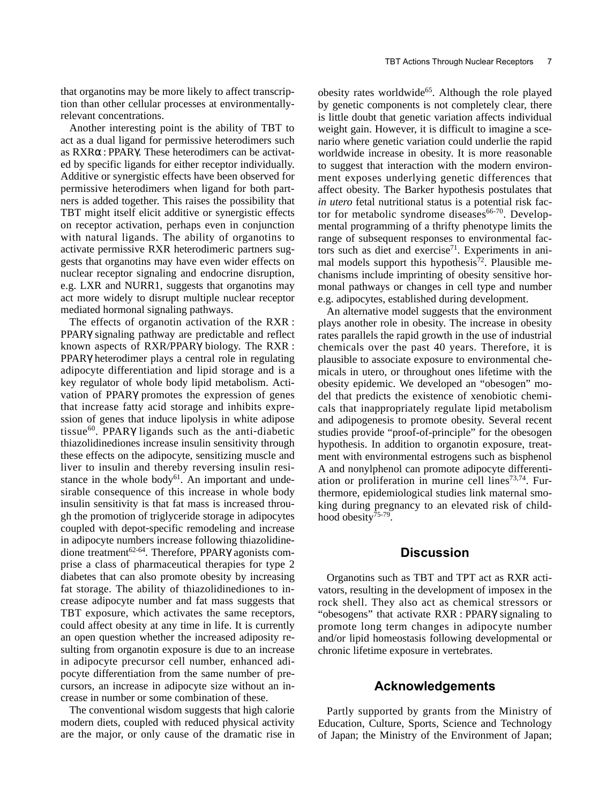that organotins may be more likely to affect transcription than other cellular processes at environmentallyrelevant concentrations.

Another interesting point is the ability of TBT to act as a dual ligand for permissive heterodimers such as RXRα : PPARγ. These heterodimers can be activated by specific ligands for either receptor individually. Additive or synergistic effects have been observed for permissive heterodimers when ligand for both partners is added together. This raises the possibility that TBT might itself elicit additive or synergistic effects on receptor activation, perhaps even in conjunction with natural ligands. The ability of organotins to activate permissive RXR heterodimeric partners suggests that organotins may have even wider effects on nuclear receptor signaling and endocrine disruption, e.g. LXR and NURR1, suggests that organotins may act more widely to disrupt multiple nuclear receptor mediated hormonal signaling pathways.

The effects of organotin activation of the RXR : PPARγ signaling pathway are predictable and reflect known aspects of RXR/PPARγ biology. The RXR : PPARγ heterodimer plays a central role in regulating adipocyte differentiation and lipid storage and is a key regulator of whole body lipid metabolism. Activation of PPARγ promotes the expression of genes that increase fatty acid storage and inhibits expression of genes that induce lipolysis in white adipose tissue<sup>60</sup>. PPARY ligands such as the anti-diabetic thiazolidinediones increase insulin sensitivity through these effects on the adipocyte, sensitizing muscle and liver to insulin and thereby reversing insulin resistance in the whole body $61$ . An important and undesirable consequence of this increase in whole body insulin sensitivity is that fat mass is increased through the promotion of triglyceride storage in adipocytes coupled with depot-specific remodeling and increase in adipocyte numbers increase following thiazolidinedione treatment<sup>62-64</sup>. Therefore, PPARγ agonists comprise a class of pharmaceutical therapies for type 2 diabetes that can also promote obesity by increasing fat storage. The ability of thiazolidinediones to increase adipocyte number and fat mass suggests that TBT exposure, which activates the same receptors, could affect obesity at any time in life. It is currently an open question whether the increased adiposity resulting from organotin exposure is due to an increase in adipocyte precursor cell number, enhanced adipocyte differentiation from the same number of precursors, an increase in adipocyte size without an increase in number or some combination of these.

The conventional wisdom suggests that high calorie modern diets, coupled with reduced physical activity are the major, or only cause of the dramatic rise in

obesity rates worldwide<sup>65</sup>. Although the role played by genetic components is not completely clear, there is little doubt that genetic variation affects individual weight gain. However, it is difficult to imagine a scenario where genetic variation could underlie the rapid worldwide increase in obesity. It is more reasonable to suggest that interaction with the modern environment exposes underlying genetic differences that affect obesity. The Barker hypothesis postulates that *in utero* fetal nutritional status is a potential risk factor for metabolic syndrome diseases<sup>66-70</sup>. Developmental programming of a thrifty phenotype limits the range of subsequent responses to environmental factors such as diet and  $exercise<sup>71</sup>$ . Experiments in animal models support this hypothesis<sup>72</sup>. Plausible mechanisms include imprinting of obesity sensitive hormonal pathways or changes in cell type and number e.g. adipocytes, established during development.

An alternative model suggests that the environment plays another role in obesity. The increase in obesity rates parallels the rapid growth in the use of industrial chemicals over the past 40 years. Therefore, it is plausible to associate exposure to environmental chemicals in utero, or throughout ones lifetime with the obesity epidemic. We developed an "obesogen" model that predicts the existence of xenobiotic chemicals that inappropriately regulate lipid metabolism and adipogenesis to promote obesity. Several recent studies provide "proof-of-principle" for the obesogen hypothesis. In addition to organotin exposure, treatment with environmental estrogens such as bisphenol A and nonylphenol can promote adipocyte differentiation or proliferation in murine cell lines $73,74$ . Furthermore, epidemiological studies link maternal smoking during pregnancy to an elevated risk of childhood obesity<sup>75-79</sup>.

### **Discussion**

Organotins such as TBT and TPT act as RXR activators, resulting in the development of imposex in the rock shell. They also act as chemical stressors or "obesogens" that activate RXR : PPARγ signaling to promote long term changes in adipocyte number and/or lipid homeostasis following developmental or chronic lifetime exposure in vertebrates.

#### **Acknowledgements**

Partly supported by grants from the Ministry of Education, Culture, Sports, Science and Technology of Japan; the Ministry of the Environment of Japan;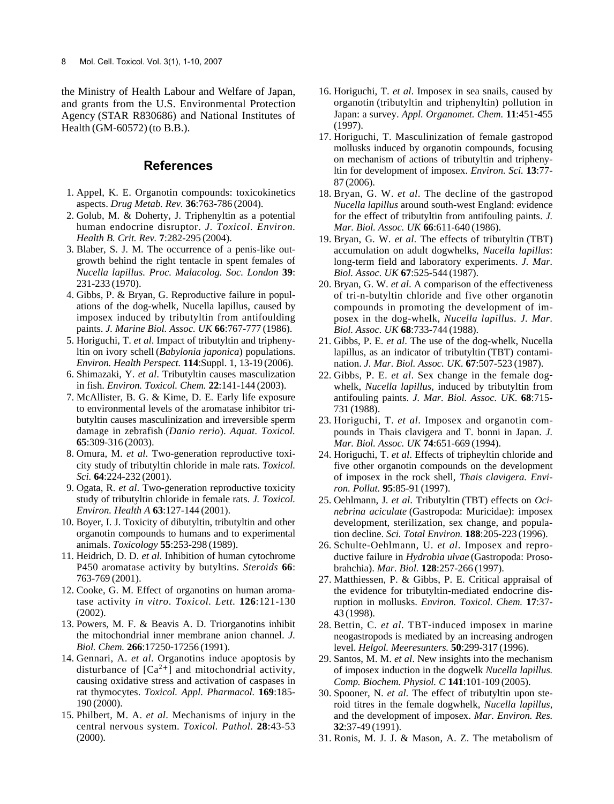the Ministry of Health Labour and Welfare of Japan, and grants from the U.S. Environmental Protection Agency (STAR R830686) and National Institutes of Health(GM-60572) (to B.B.).

## **References**

- 1. Appel, K. E. Organotin compounds: toxicokinetics aspects. *Drug Metab. Rev.* **36**:763-786 (2004).
- 2. Golub, M. & Doherty, J. Triphenyltin as a potential human endocrine disruptor. *J. Toxicol. Environ. Health B. Crit. Rev.* **7**:282-295 (2004).
- 3. Blaber, S. J. M. The occurrence of a penis-like outgrowth behind the right tentacle in spent females of *Nucella lapillus. Proc. Malacolog. Soc. London* **39**: 231-233 (1970).
- 4. Gibbs, P. & Bryan, G. Reproductive failure in populations of the dog-whelk, Nucella lapillus, caused by imposex induced by tributyltin from antifoulding paints. *J. Marine Biol. Assoc. UK* **66**:767-777 (1986).
- 5. Horiguchi, T. *et al*. Impact of tributyltin and triphenyltin on ivory schell (*Babylonia japonica*) populations. *Environ. Health Perspect.* **114**:Suppl. 1, 13-19 (2006).
- 6. Shimazaki, Y. *et al*. Tributyltin causes masculization in fish. *Environ. Toxicol. Chem.* **22**:141-144 (2003).
- 7. McAllister, B. G. & Kime, D. E. Early life exposure to environmental levels of the aromatase inhibitor tributyltin causes masculinization and irreversible sperm damage in zebrafish(*Danio rerio*). *Aquat. Toxicol.* **65**:309-316 (2003).
- 8. Omura, M. *et al*. Two-generation reproductive toxicity study of tributyltin chloride in male rats. *Toxicol. Sci.* **64**:224-232 (2001).
- 9. Ogata, R. *et al*. Two-generation reproductive toxicity study of tributyltin chloride in female rats. *J. Toxicol. Environ. Health A* **63**:127-144 (2001).
- 10. Boyer, I. J. Toxicity of dibutyltin, tributyltin and other organotin compounds to humans and to experimental animals. *Toxicology* **55**:253-298 (1989).
- 11. Heidrich, D. D. *et al*. Inhibition of human cytochrome P450 aromatase activity by butyltins. *Steroids* **66**: 763-769 (2001).
- 12. Cooke, G. M. Effect of organotins on human aromatase activity *in vitro*. *Toxicol. Lett.* **126**:121-130 (2002).
- 13. Powers, M. F. & Beavis A. D. Triorganotins inhibit the mitochondrial inner membrane anion channel. *J. Biol. Chem.* **266**:17250-17256 (1991).
- 14. Gennari, A. *et al*. Organotins induce apoptosis by disturbance of  $[Ca^{2+}]$  and mitochondrial activity, causing oxidative stress and activation of caspases in rat thymocytes. *Toxicol. Appl. Pharmacol.* **169**:185- 190 (2000).
- 15. Philbert, M. A. *et al*. Mechanisms of injury in the central nervous system. *Toxicol. Pathol.* **28**:43-53 (2000).
- 16. Horiguchi, T. *et al*. Imposex in sea snails, caused by organotin (tributyltin and triphenyltin) pollution in Japan: a survey. *Appl. Organomet. Chem.* **11**:451-455 (1997).
- 17. Horiguchi, T. Masculinization of female gastropod mollusks induced by organotin compounds, focusing on mechanism of actions of tributyltin and triphenyltin for development of imposex. *Environ. Sci.* **13**:77- 87 (2006).
- 18. Bryan, G. W. *et al*. The decline of the gastropod *Nucella lapillus* around south-west England: evidence for the effect of tributyltin from antifouling paints. *J. Mar. Biol. Assoc. UK* **66**:611-640 (1986).
- 19. Bryan, G. W. *et al*. The effects of tributyltin (TBT) accumulation on adult dogwhelks, *Nucella lapillus*: long-term field and laboratory experiments. *J. Mar. Biol. Assoc. UK* **67**:525-544 (1987).
- 20. Bryan, G. W. *et al*. A comparison of the effectiveness of tri-n-butyltin chloride and five other organotin compounds in promoting the development of imposex in the dog-whelk, *Nucella lapillus. J. Mar. Biol. Assoc. UK* **68**:733-744 (1988).
- 21. Gibbs, P. E. *et al*. The use of the dog-whelk, Nucella lapillus, as an indicator of tributyltin (TBT) contamination. *J. Mar. Biol. Assoc. UK*. **67**:507-523 (1987).
- 22. Gibbs, P. E. *et al*. Sex change in the female dogwhelk, *Nucella lapillus*, induced by tributyltin from antifouling paints. *J. Mar. Biol. Assoc. UK*. **68**:715- 731 (1988).
- 23. Horiguchi, T. *et al*. Imposex and organotin compounds in Thais clavigera and T. bonni in Japan. *J. Mar. Biol. Assoc. UK* **74**:651-669 (1994).
- 24. Horiguchi, T. *et al*. Effects of tripheyltin chloride and five other organotin compounds on the development of imposex in the rock shell, *Thais clavigera. Environ. Pollut.* **95**:85-91 (1997).
- 25. Oehlmann, J. *et al*. Tributyltin (TBT) effects on *Ocinebrina aciculate* (Gastropoda: Muricidae): imposex development, sterilization, sex change, and population decline. *Sci. Total Environ.* **188**:205-223 (1996).
- 26. Schulte-Oehlmann, U. *et al*. Imposex and reproductive failure in *Hydrobia ulvae* (Gastropoda: Prosobrahchia). *Mar. Biol.* **128**:257-266 (1997).
- 27. Matthiessen, P. & Gibbs, P. E. Critical appraisal of the evidence for tributyltin-mediated endocrine disruption in mollusks. *Environ. Toxicol. Chem.* **17**:37- 43 (1998).
- 28. Bettin, C. *et al*. TBT-induced imposex in marine neogastropods is mediated by an increasing androgen level. *Helgol. Meeresunters.* **50**:299-317 (1996).
- 29. Santos, M. M. *et al*. New insights into the mechanism of imposex induction in the dogwelk *Nucella lapillus. Comp. Biochem. Physiol. C* **141**:101-109 (2005).
- 30. Spooner, N. *et al*. The effect of tributyltin upon steroid titres in the female dogwhelk, *Nucella lapillus*, and the development of imposex. *Mar. Environ. Res.* **32**:37-49 (1991).
- 31. Ronis, M. J. J. & Mason, A. Z. The metabolism of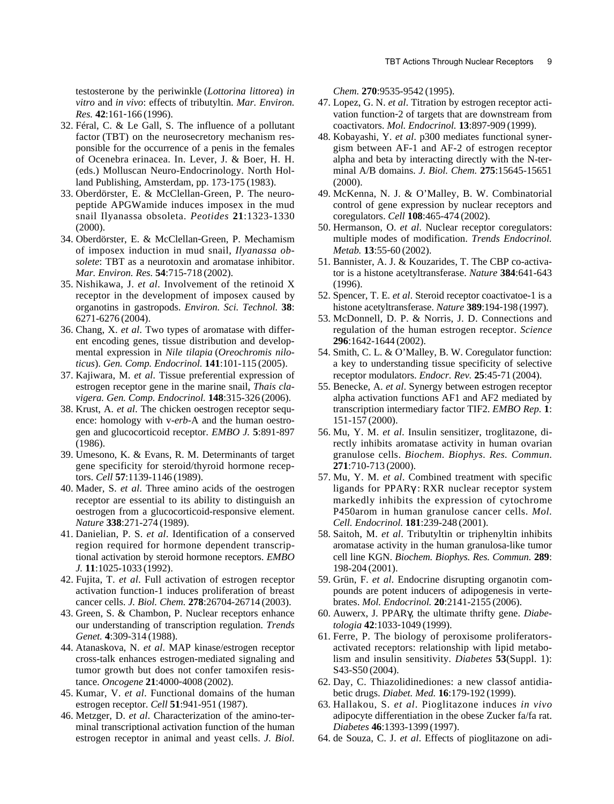testosterone by the periwinkle (*Lottorina littorea*) *in vitro* and *in vivo*: effects of tributyltin. *Mar. Environ. Res.* **42**:161-166 (1996).

- 32. Féral, C. & Le Gall, S. The influence of a pollutant factor (TBT) on the neurosecretory mechanism responsible for the occurrence of a penis in the females of Ocenebra erinacea. In. Lever, J. & Boer, H. H. (eds.) Molluscan Neuro-Endocrinology. North Holland Publishing, Amsterdam, pp. 173-175 (1983).
- 33. Oberdörster, E. & McClellan-Green, P. The neuropeptide APGWamide induces imposex in the mud snail Ilyanassa obsoleta. *Peotides* **21**:1323-1330 (2000).
- 34. Oberdörster, E. & McClellan-Green, P. Mechamism of imposex induction in mud snail, *Ilyanassa obsolete*: TBT as a neurotoxin and aromatase inhibitor. *Mar. Environ. Res.* **54**:715-718 (2002).
- 35. Nishikawa, J. *et al*. Involvement of the retinoid X receptor in the development of imposex caused by organotins in gastropods. *Environ. Sci. Technol.* **38**: 6271-6276 (2004).
- 36. Chang, X. *et al*. Two types of aromatase with different encoding genes, tissue distribution and developmental expression in *Nile tilapia* (*Oreochromis niloticus*). *Gen. Comp. Endocrinol.* **141**:101-115 (2005).
- 37. Kajiwara, M. *et al*. Tissue preferential expression of estrogen receptor gene in the marine snail, *Thais clavigera. Gen. Comp. Endocrinol.* **148**:315-326 (2006).
- 38. Krust, A. *et al*. The chicken oestrogen receptor sequence: homology with v-*erb*-A and the human oestrogen and glucocorticoid receptor. *EMBO J.* **5**:891-897 (1986).
- 39. Umesono, K. & Evans, R. M. Determinants of target gene specificity for steroid/thyroid hormone receptors. *Cell* **57**:1139-1146 (1989).
- 40. Mader, S. *et al*. Three amino acids of the oestrogen receptor are essential to its ability to distinguish an oestrogen from a glucocorticoid-responsive element. *Nature* **338**:271-274 (1989).
- 41. Danielian, P. S. *et al*. Identification of a conserved region required for hormone dependent transcriptional activation by steroid hormone receptors. *EMBO J.* **11**:1025-1033 (1992).
- 42. Fujita, T. *et al*. Full activation of estrogen receptor activation function-1 induces proliferation of breast cancer cells. *J. Biol. Chem.* **278**:26704-26714 (2003).
- 43. Green, S. & Chambon, P. Nuclear receptors enhance our understanding of transcription regulation. *Trends Genet.* **4**:309-314 (1988).
- 44. Atanaskova, N. *et al*. MAP kinase/estrogen receptor cross-talk enhances estrogen-mediated signaling and tumor growth but does not confer tamoxifen resistance. *Oncogene* **21**:4000-4008 (2002).
- 45. Kumar, V. *et al*. Functional domains of the human estrogen receptor. *Cell* **51**:941-951 (1987).
- 46. Metzger, D. *et al*. Characterization of the amino-terminal transcriptional activation function of the human estrogen receptor in animal and yeast cells. *J. Biol.*

*Chem.* **270**:9535-9542 (1995).

- 47. Lopez, G. N. *et al*. Titration by estrogen receptor activation function-2 of targets that are downstream from coactivators. *Mol. Endocrinol.* **13**:897-909 (1999).
- 48. Kobayashi, Y. *et al*. p300 mediates functional synergism between AF-1 and AF-2 of estrogen receptor alpha and beta by interacting directly with the N-terminal A/B domains. *J. Biol. Chem.* **275**:15645-15651 (2000).
- 49. McKenna, N. J. & O'Malley, B. W. Combinatorial control of gene expression by nuclear receptors and coregulators. *Cell* **108**:465-474 (2002).
- 50. Hermanson, O. *et al*. Nuclear receptor coregulators: multiple modes of modification. *Trends Endocrinol. Metab.* **13**:55-60 (2002).
- 51. Bannister, A. J. & Kouzarides, T. The CBP co-activator is a histone acetyltransferase. *Nature* **384**:641-643 (1996).
- 52. Spencer, T. E. *et al*. Steroid receptor coactivatoe-1 is a histone acetyltransferase. *Nature* **389**:194-198 (1997).
- 53. McDonnell, D. P. & Norris, J. D. Connections and regulation of the human estrogen receptor. *Science* **296**:1642-1644 (2002).
- 54. Smith, C. L. & O'Malley, B. W. Coregulator function: a key to understanding tissue specificity of selective receptor modulators. *Endocr. Rev.* **25**:45-71 (2004).
- 55. Benecke, A. *et al*. Synergy between estrogen receptor alpha activation functions AF1 and AF2 mediated by transcription intermediary factor TIF2. *EMBO Rep.* **1**: 151-157 (2000).
- 56. Mu, Y. M. *et al*. Insulin sensitizer, troglitazone, directly inhibits aromatase activity in human ovarian granulose cells. *Biochem. Biophys. Res. Commun.* **271**:710-713 (2000).
- 57. Mu, Y. M. *et al*. Combined treatment with specific ligands for PPARγ : RXR nuclear receptor system markedly inhibits the expression of cytochrome P450arom in human granulose cancer cells. *Mol. Cell. Endocrinol.* **181**:239-248 (2001).
- 58. Saitoh, M. *et al*. Tributyltin or triphenyltin inhibits aromatase activity in the human granulosa-like tumor cell line KGN. *Biochem. Biophys. Res. Commun.* **289**: 198-204 (2001).
- 59. Grün, F. *et al*. Endocrine disrupting organotin compounds are potent inducers of adipogenesis in vertebrates. *Mol. Endocrinol.* **20**:2141-2155 (2006).
- 60. Auwerx, J. PPARγ, the ultimate thrifty gene. *Diabetologia* **42**:1033-1049 (1999).
- 61. Ferre, P. The biology of peroxisome proliferatorsactivated receptors: relationship with lipid metabolism and insulin sensitivity. *Diabetes* **53**(Suppl. 1): S43-S50 (2004).
- 62. Day, C. Thiazolidinediones: a new classof antidiabetic drugs. *Diabet. Med.* **16**:179-192 (1999).
- 63. Hallakou, S. *et al*. Pioglitazone induces *in vivo* adipocyte differentiation in the obese Zucker fa/fa rat. *Diabetes* **46**:1393-1399 (1997).
- 64. de Souza, C. J. *et al*. Effects of pioglitazone on adi-